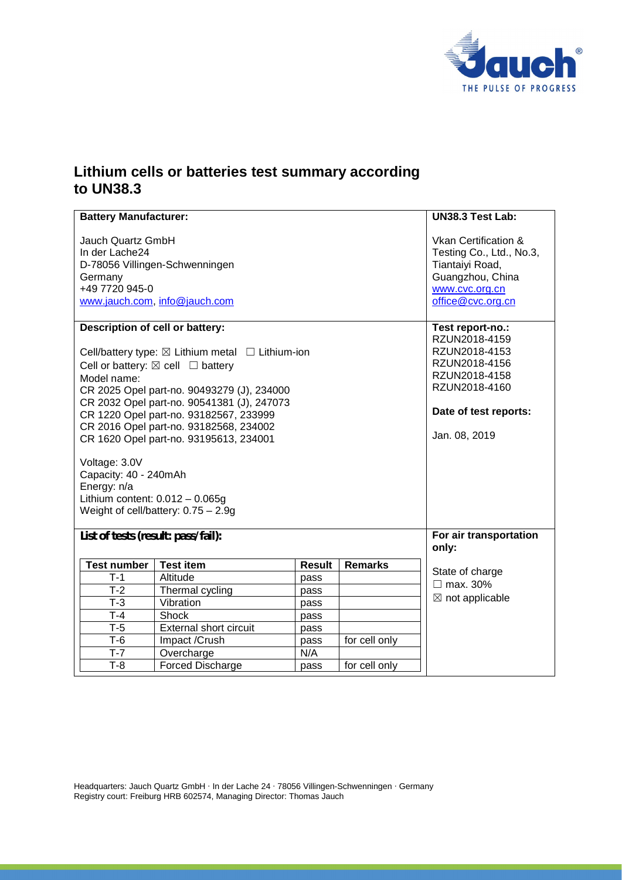

## **Lithium cells or batteries test summary according to UN38.3**

| <b>Battery Manufacturer:</b>                                                                                                                                                                                                                                                                                                                                                                                                                                                                                                           |                               |               |                | UN38.3 Test Lab:                                                                                                                                |
|----------------------------------------------------------------------------------------------------------------------------------------------------------------------------------------------------------------------------------------------------------------------------------------------------------------------------------------------------------------------------------------------------------------------------------------------------------------------------------------------------------------------------------------|-------------------------------|---------------|----------------|-------------------------------------------------------------------------------------------------------------------------------------------------|
| Jauch Quartz GmbH<br>In der Lache24<br>D-78056 Villingen-Schwenningen<br>Germany<br>+49 7720 945-0<br>www.jauch.com, info@jauch.com                                                                                                                                                                                                                                                                                                                                                                                                    |                               |               |                | Vkan Certification &<br>Testing Co., Ltd., No.3,<br>Tiantaiyi Road,<br>Guangzhou, China<br>www.cvc.org.cn<br>office@cvc.org.cn                  |
| Description of cell or battery:<br>Cell/battery type: $\boxtimes$ Lithium metal $\Box$ Lithium-ion<br>Cell or battery: $\boxtimes$ cell $\Box$ battery<br>Model name:<br>CR 2025 Opel part-no. 90493279 (J), 234000<br>CR 2032 Opel part-no. 90541381 (J), 247073<br>CR 1220 Opel part-no. 93182567, 233999<br>CR 2016 Opel part-no. 93182568, 234002<br>CR 1620 Opel part-no. 93195613, 234001<br>Voltage: 3.0V<br>Capacity: 40 - 240mAh<br>Energy: n/a<br>Lithium content: $0.012 - 0.065g$<br>Weight of cell/battery: $0.75 - 2.9g$ |                               |               |                | Test report-no.:<br>RZUN2018-4159<br>RZUN2018-4153<br>RZUN2018-4156<br>RZUN2018-4158<br>RZUN2018-4160<br>Date of test reports:<br>Jan. 08, 2019 |
| List of tests (result: pass/fail):                                                                                                                                                                                                                                                                                                                                                                                                                                                                                                     |                               |               |                | For air transportation<br>only:                                                                                                                 |
| <b>Test number</b>                                                                                                                                                                                                                                                                                                                                                                                                                                                                                                                     | <b>Test item</b>              | <b>Result</b> | <b>Remarks</b> | State of charge                                                                                                                                 |
| T-1                                                                                                                                                                                                                                                                                                                                                                                                                                                                                                                                    | Altitude                      | pass          |                | $\Box$ max. 30%<br>$\boxtimes$ not applicable                                                                                                   |
| $T-2$                                                                                                                                                                                                                                                                                                                                                                                                                                                                                                                                  | Thermal cycling               | pass          |                |                                                                                                                                                 |
| $T-3$                                                                                                                                                                                                                                                                                                                                                                                                                                                                                                                                  | Vibration                     | pass          |                |                                                                                                                                                 |
| $T-4$                                                                                                                                                                                                                                                                                                                                                                                                                                                                                                                                  | Shock                         | pass          |                |                                                                                                                                                 |
| $T-5$                                                                                                                                                                                                                                                                                                                                                                                                                                                                                                                                  | <b>External short circuit</b> | pass          |                |                                                                                                                                                 |
| $T-6$                                                                                                                                                                                                                                                                                                                                                                                                                                                                                                                                  | Impact /Crush                 | pass          | for cell only  |                                                                                                                                                 |
| $T-7$                                                                                                                                                                                                                                                                                                                                                                                                                                                                                                                                  | Overcharge                    | N/A           |                |                                                                                                                                                 |
| $T-8$                                                                                                                                                                                                                                                                                                                                                                                                                                                                                                                                  | Forced Discharge              | pass          | for cell only  |                                                                                                                                                 |